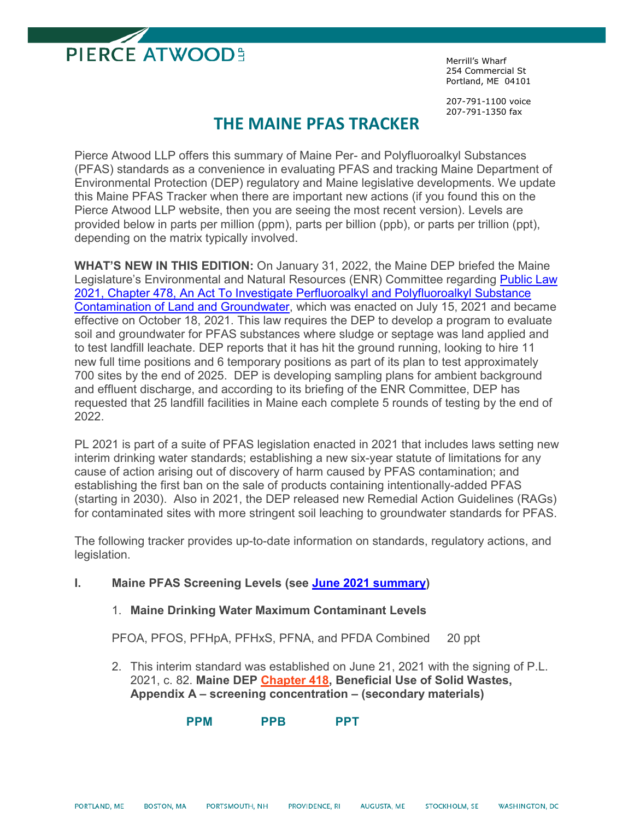

Merrill's Wharf 254 Commercial St Portland, ME 04101

207-791-1100 voice 207-791-1350 fax

### **THE MAINE PFAS TRACKER**

Pierce Atwood LLP offers this summary of Maine Per- and Polyfluoroalkyl Substances (PFAS) standards as a convenience in evaluating PFAS and tracking Maine Department of Environmental Protection (DEP) regulatory and Maine legislative developments. We update this Maine PFAS Tracker when there are important new actions (if you found this on the Pierce Atwood LLP website, then you are seeing the most recent version). Levels are provided below in parts per million (ppm), parts per billion (ppb), or parts per trillion (ppt), depending on the matrix typically involved.

**WHAT'S NEW IN THIS EDITION:** On January 31, 2022, the Maine DEP briefed the Maine Legislature's Environmental and Natural Resources (ENR) Committee regarding [Public Law](http://www.mainelegislature.org/legis/bills/getPDF.asp?paper=HP1189&item=5&snum=130)  [2021, Chapter 478, An Act To Investigate Perfluoroalkyl and Polyfluoroalkyl Substance](http://www.mainelegislature.org/legis/bills/getPDF.asp?paper=HP1189&item=5&snum=130)  [Contamination of Land and Groundwater,](http://www.mainelegislature.org/legis/bills/getPDF.asp?paper=HP1189&item=5&snum=130) which was enacted on July 15, 2021 and became effective on October 18, 2021. This law requires the DEP to develop a program to evaluate soil and groundwater for PFAS substances where sludge or septage was land applied and to test landfill leachate. DEP reports that it has hit the ground running, looking to hire 11 new full time positions and 6 temporary positions as part of its plan to test approximately 700 sites by the end of 2025. DEP is developing sampling plans for ambient background and effluent discharge, and according to its briefing of the ENR Committee, DEP has requested that 25 landfill facilities in Maine each complete 5 rounds of testing by the end of 2022.

PL 2021 is part of a suite of PFAS legislation enacted in 2021 that includes laws setting new interim drinking water standards; establishing a new six-year statute of limitations for any cause of action arising out of discovery of harm caused by PFAS contamination; and establishing the first ban on the sale of products containing intentionally-added PFAS (starting in 2030). Also in 2021, the DEP released new Remedial Action Guidelines (RAGs) for contaminated sites with more stringent soil leaching to groundwater standards for PFAS.

The following tracker provides up-to-date information on standards, regulatory actions, and legislation.

- **I. Maine PFAS Screening Levels (see [June 2021 summary\)](https://www1.maine.gov/dep/spills/topics/pfas/Maine-PFAS-Screening-Levels-Rev-6.28.21.pdf)** 
	- 1. **Maine Drinking Water Maximum Contaminant Levels**

PFOA, PFOS, PFHpA, PFHxS, PFNA, and PFDA Combined 20 ppt

2. This interim standard was established on June 21, 2021 with the signing of P.L. 2021, c. 82. **Maine DEP [Chapter 418,](http://www.maine.gov/sos/cec/rules/06/096/096c418.docx) Beneficial Use of Solid Wastes, Appendix A – screening concentration – (secondary materials)**

**PPM PPB PPT**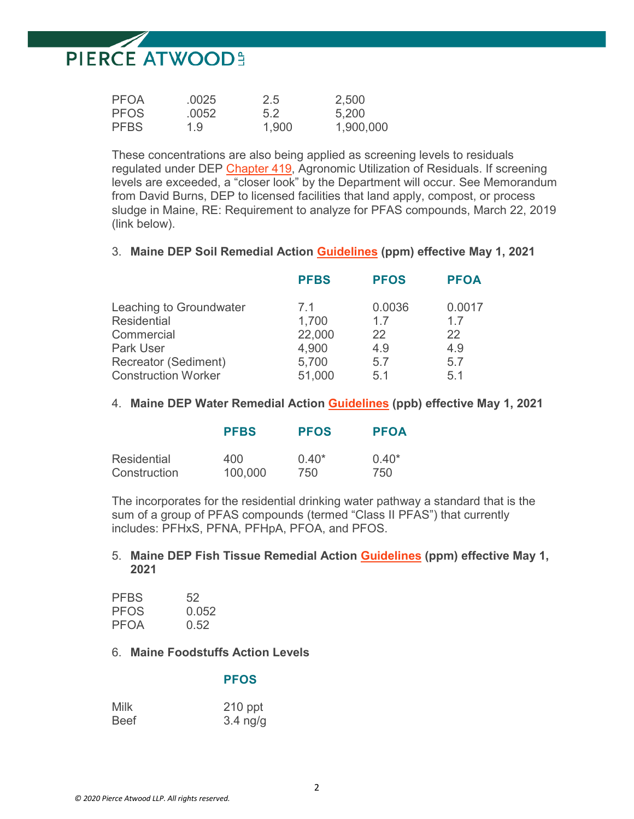| <b>PFOA</b> | .0025 | 2.5   | 2,500     |
|-------------|-------|-------|-----------|
| <b>PFOS</b> | .0052 | 5.2   | 5,200     |
| <b>PFBS</b> | 1.9   | 1,900 | 1,900,000 |

These concentrations are also being applied as screening levels to residuals regulated under DEP [Chapter 419,](http://www.maine.gov/sos/cec/rules/06/096/096c419.doc) Agronomic Utilization of Residuals. If screening levels are exceeded, a "closer look" by the Department will occur. See Memorandum from David Burns, DEP to licensed facilities that land apply, compost, or process sludge in Maine, RE: Requirement to analyze for PFAS compounds, March 22, 2019 (link below).

#### 3. **Maine DEP Soil Remedial Action [Guidelines](https://www.maine.gov/dep/spills/publications/guidance/rags/ME-Remedial-Action-Guidelines-10-19-18cc.pdf) (ppm) effective May 1, 2021**

|                                                    | <b>PFBS</b>     | <b>PFOS</b>  | <b>PFOA</b>  |
|----------------------------------------------------|-----------------|--------------|--------------|
| Leaching to Groundwater<br>Residential             | 71<br>1,700     | 0.0036<br>17 | 0.0017<br>17 |
| Commercial                                         | 22,000          | 22           | 22           |
| <b>Park User</b>                                   | 4,900           | 4.9          | 4.9          |
| Recreator (Sediment)<br><b>Construction Worker</b> | 5,700<br>51,000 | 5.7<br>5.1   | 5.7<br>5.1   |

#### 4. **Maine DEP Water Remedial Action [Guidelines](https://www.maine.gov/dep/spills/publications/guidance/rags/ME-Remedial-Action-Guidelines-10-19-18cc.pdf) (ppb) effective May 1, 2021**

|              | <b>PFBS</b> | <b>PFOS</b> | <b>PFOA</b> |
|--------------|-------------|-------------|-------------|
| Residential  | 400         | $0.40*$     | $0.40*$     |
| Construction | 100,000     | 750         | 750         |

The incorporates for the residential drinking water pathway a standard that is the sum of a group of PFAS compounds (termed "Class II PFAS") that currently includes: PFHxS, PFNA, PFHpA, PFOA, and PFOS.

#### 5. **Maine DEP Fish Tissue Remedial Action [Guidelines](https://www.maine.gov/dep/spills/publications/guidance/rags/ME-Remedial-Action-Guidelines-10-19-18cc.pdf) (ppm) effective May 1, 2021**

| <b>PFBS</b> | 52    |
|-------------|-------|
| <b>PFOS</b> | 0.052 |
| <b>PFOA</b> | 0.52  |

#### 6. **Maine Foodstuffs Action Levels**

#### **PFOS**

| Milk        | $210$ ppt  |
|-------------|------------|
| <b>Beef</b> | $3.4$ ng/g |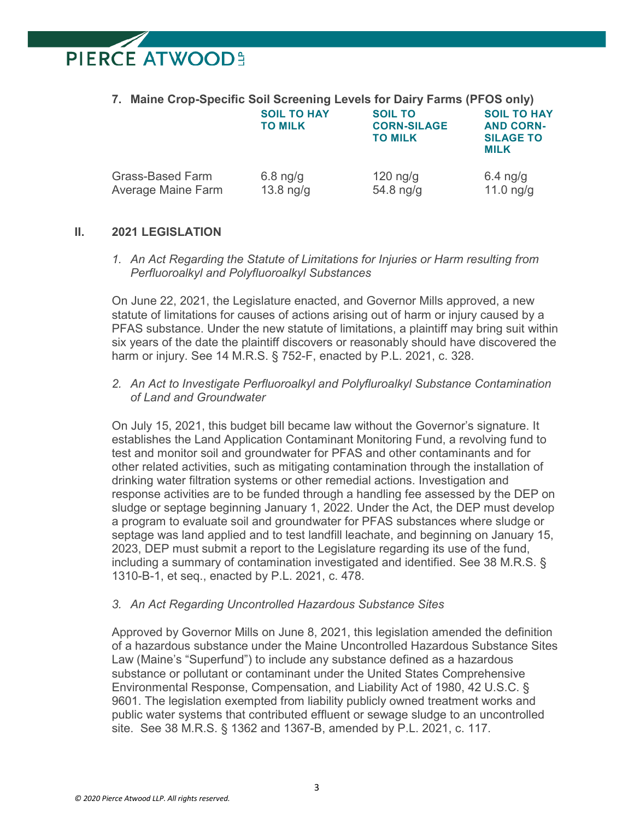**7. Maine Crop-Specific Soil Screening Levels for Dairy Farms (PFOS only) SOIL TO HAY SOIL TO SOIL TO HAY TO MILK CORN-SILAGE AND CORN-TO MILK SILAGE TO MILK** Grass-Based Farm  $6.8 \text{ nq/q}$  120 ng/g 6.4 ng/g Average Maine Farm  $13.8 \text{ ng/g}$  54.8 ng/g  $11.0 \text{ ng/g}$ 

#### **II. 2021 LEGISLATION**

*1. An Act Regarding the Statute of Limitations for Injuries or Harm resulting from Perfluoroalkyl and Polyfluoroalkyl Substances* 

On June 22, 2021, the Legislature enacted, and Governor Mills approved, a new statute of limitations for causes of actions arising out of harm or injury caused by a PFAS substance. Under the new statute of limitations, a plaintiff may bring suit within six years of the date the plaintiff discovers or reasonably should have discovered the harm or injury. See 14 M.R.S. § 752-F, enacted by P.L. 2021, c. 328.

*2. An Act to Investigate Perfluoroalkyl and Polyfluroalkyl Substance Contamination of Land and Groundwater*

On July 15, 2021, this budget bill became law without the Governor's signature. It establishes the Land Application Contaminant Monitoring Fund, a revolving fund to test and monitor soil and groundwater for PFAS and other contaminants and for other related activities, such as mitigating contamination through the installation of drinking water filtration systems or other remedial actions. Investigation and response activities are to be funded through a handling fee assessed by the DEP on sludge or septage beginning January 1, 2022. Under the Act, the DEP must develop a program to evaluate soil and groundwater for PFAS substances where sludge or septage was land applied and to test landfill leachate, and beginning on January 15, 2023, DEP must submit a report to the Legislature regarding its use of the fund, including a summary of contamination investigated and identified. See 38 M.R.S. § 1310-B-1, et seq., enacted by P.L. 2021, c. 478.

#### *3. An Act Regarding Uncontrolled Hazardous Substance Sites*

Approved by Governor Mills on June 8, 2021, this legislation amended the definition of a hazardous substance under the Maine Uncontrolled Hazardous Substance Sites Law (Maine's "Superfund") to include any substance defined as a hazardous substance or pollutant or contaminant under the United States Comprehensive Environmental Response, Compensation, and Liability Act of 1980, 42 U.S.C. § 9601. The legislation exempted from liability publicly owned treatment works and public water systems that contributed effluent or sewage sludge to an uncontrolled site. See 38 M.R.S. § 1362 and 1367-B, amended by P.L. 2021, c. 117.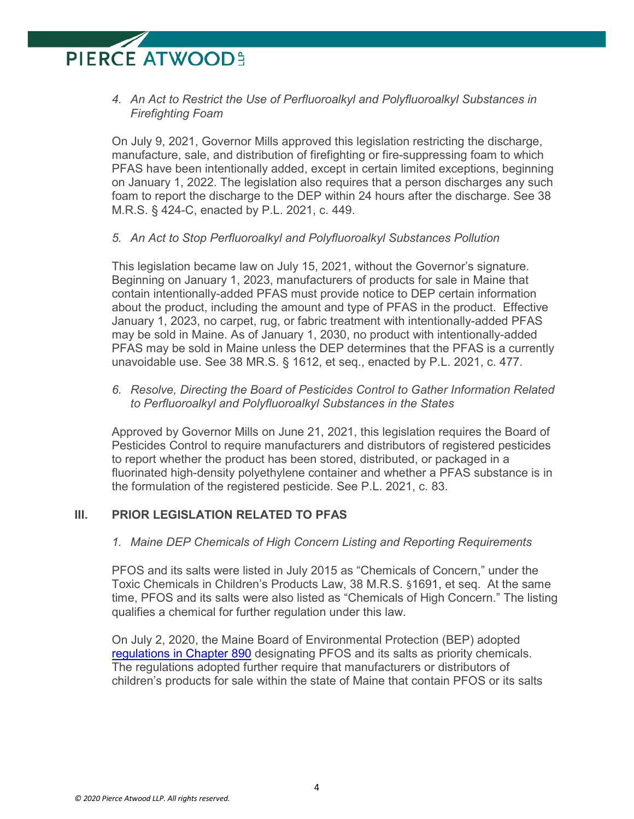*4. An Act to Restrict the Use of Perfluoroalkyl and Polyfluoroalkyl Substances in Firefighting Foam* 

On July 9, 2021, Governor Mills approved this legislation restricting the discharge, manufacture, sale, and distribution of firefighting or fire-suppressing foam to which PFAS have been intentionally added, except in certain limited exceptions, beginning on January 1, 2022. The legislation also requires that a person discharges any such foam to report the discharge to the DEP within 24 hours after the discharge. See 38 M.R.S. § 424-C, enacted by P.L. 2021, c. 449.

*5. An Act to Stop Perfluoroalkyl and Polyfluoroalkyl Substances Pollution* 

This legislation became law on July 15, 2021, without the Governor's signature. Beginning on January 1, 2023, manufacturers of products for sale in Maine that contain intentionally-added PFAS must provide notice to DEP certain information about the product, including the amount and type of PFAS in the product. Effective January 1, 2023, no carpet, rug, or fabric treatment with intentionally-added PFAS may be sold in Maine. As of January 1, 2030, no product with intentionally-added PFAS may be sold in Maine unless the DEP determines that the PFAS is a currently unavoidable use. See 38 MR.S. § 1612, et seq., enacted by P.L. 2021, c. 477.

*6. Resolve, Directing the Board of Pesticides Control to Gather Information Related to Perfluoroalkyl and Polyfluoroalkyl Substances in the States* 

Approved by Governor Mills on June 21, 2021, this legislation requires the Board of Pesticides Control to require manufacturers and distributors of registered pesticides to report whether the product has been stored, distributed, or packaged in a fluorinated high-density polyethylene container and whether a PFAS substance is in the formulation of the registered pesticide. See P.L. 2021, c. 83.

#### **III. PRIOR LEGISLATION RELATED TO PFAS**

#### *1. Maine DEP Chemicals of High Concern Listing and Reporting Requirements*

PFOS and its salts were listed in July 2015 as "Chemicals of Concern," under the Toxic Chemicals in Children's Products Law, 38 M.R.S. §1691, et seq. At the same time, PFOS and its salts were also listed as "Chemicals of High Concern." The listing qualifies a chemical for further regulation under this law.

On July 2, 2020, the Maine Board of Environmental Protection (BEP) adopted [regulations in Chapter 890](https://www.maine.gov/dep/bep/2020/07-02-20/Clean%20Copy%20Ch%20890%20PFOS%20Final%20Draft.pdf) designating PFOS and its salts as priority chemicals. The regulations adopted further require that manufacturers or distributors of children's products for sale within the state of Maine that contain PFOS or its salts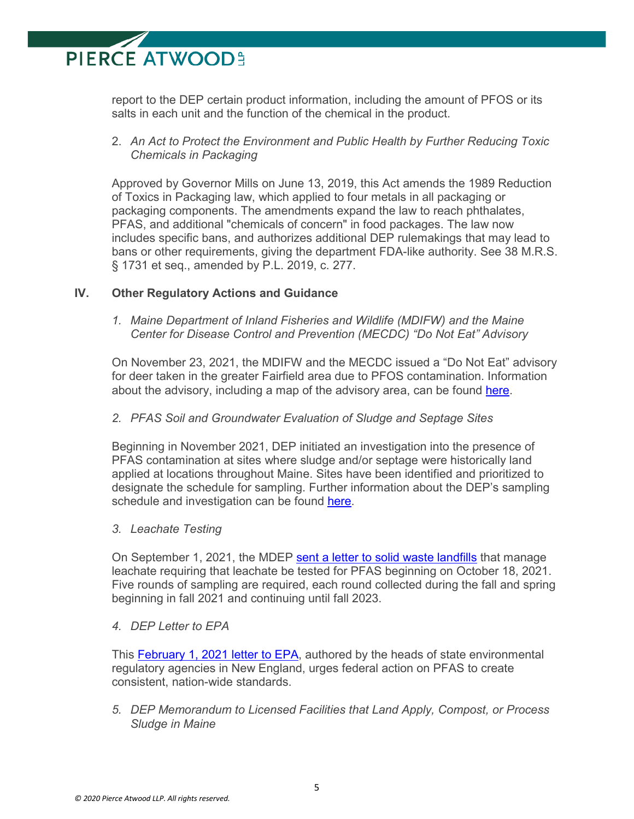report to the DEP certain product information, including the amount of PFOS or its salts in each unit and the function of the chemical in the product.

#### 2. *An Act to Protect the Environment and Public Health by Further Reducing Toxic Chemicals in Packaging*

Approved by Governor Mills on June 13, 2019, this Act amends the 1989 Reduction of Toxics in Packaging law, which applied to four metals in all packaging or packaging components. The amendments expand the law to reach phthalates, PFAS, and additional "chemicals of concern" in food packages. The law now includes specific bans, and authorizes additional DEP rulemakings that may lead to bans or other requirements, giving the department FDA-like authority. See 38 M.R.S. § 1731 et seq., amended by P.L. 2019, c. 277.

#### **IV. Other Regulatory Actions and Guidance**

*1. Maine Department of Inland Fisheries and Wildlife (MDIFW) and the Maine Center for Disease Control and Prevention (MECDC) "Do Not Eat" Advisory*

On November 23, 2021, the MDIFW and the MECDC issued a "Do Not Eat" advisory for deer taken in the greater Fairfield area due to PFOS contamination. Information about the advisory, including a map of the advisory area, can be found [here.](https://www.maine.gov/ifw/hunting-trapping/hunting-resources/deer/index.html#questions)

#### *2. PFAS Soil and Groundwater Evaluation of Sludge and Septage Sites*

Beginning in November 2021, DEP initiated an investigation into the presence of PFAS contamination at sites where sludge and/or septage were historically land applied at locations throughout Maine. Sites have been identified and prioritized to designate the schedule for sampling. Further information about the DEP's sampling schedule and investigation can be found [here.](https://www.maine.gov/dep/spills/topics/pfas/)

#### *3. Leachate Testing*

On September 1, 2021, the MDEP [sent a letter to solid waste landfills](https://www.maine.gov/dep/spills/topics/pfas/leach_testing_requirement_pkg.pdf) that manage leachate requiring that leachate be tested for PFAS beginning on October 18, 2021. Five rounds of sampling are required, each round collected during the fall and spring beginning in fall 2021 and continuing until fall 2023.

#### *4. DEP Letter to EPA*

This [February 1, 2021 letter](https://www1.maine.gov/dep/spills/topics/pfas/PFAS-Letter-to-EPA-Feb-1-2021.pdf) to EPA, authored by the heads of state environmental regulatory agencies in New England, urges federal action on PFAS to create consistent, nation-wide standards.

*5. DEP Memorandum to Licensed Facilities that Land Apply, Compost, or Process Sludge in Maine*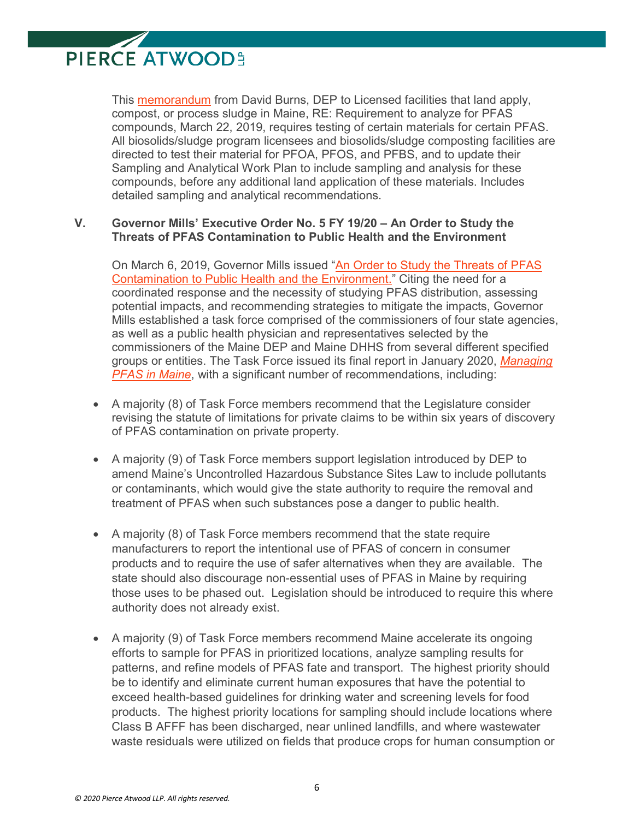This [memorandum](https://pierceatwoodwhatsup.com/31/632/uploads/2019-03-22-memo-from-dep-to-licensed-facilities-re-pfas-(w7187464x7ac2e).PDF) from David Burns, DEP to Licensed facilities that land apply, compost, or process sludge in Maine, RE: Requirement to analyze for PFAS compounds, March 22, 2019, requires testing of certain materials for certain PFAS. All biosolids/sludge program licensees and biosolids/sludge composting facilities are directed to test their material for PFOA, PFOS, and PFBS, and to update their Sampling and Analytical Work Plan to include sampling and analysis for these compounds, before any additional land application of these materials. Includes detailed sampling and analytical recommendations.

#### **V. Governor Mills' Executive Order No. 5 FY 19/20 – An Order to Study the Threats of PFAS Contamination to Public Health and the Environment**

On March 6, 2019, Governor Mills issued ["An Order to Study the Threats of PFAS](http://www.maine.gov/governor/mills/sites/maine.gov.governor.mills/files/inline-files/Governor%20Mills%20PFAS%20Executive%20Order.pdf)  [Contamination to Public Health and the Environment."](http://www.maine.gov/governor/mills/sites/maine.gov.governor.mills/files/inline-files/Governor%20Mills%20PFAS%20Executive%20Order.pdf) Citing the need for a coordinated response and the necessity of studying PFAS distribution, assessing potential impacts, and recommending strategies to mitigate the impacts, Governor Mills established a task force comprised of the commissioners of four state agencies, as well as a public health physician and representatives selected by the commissioners of the Maine DEP and Maine DHHS from several different specified groups or entities. The Task Force issued its final report in January 2020, *[Managing](http://www.maine.gov/pfastaskforce/materials/report/PFAS-Task-Force-Report-FINAL-Jan2020.pdf)  [PFAS in Maine](http://www.maine.gov/pfastaskforce/materials/report/PFAS-Task-Force-Report-FINAL-Jan2020.pdf)*, with a significant number of recommendations, including:

- A majority (8) of Task Force members recommend that the Legislature consider revising the statute of limitations for private claims to be within six years of discovery of PFAS contamination on private property.
- A majority (9) of Task Force members support legislation introduced by DEP to amend Maine's Uncontrolled Hazardous Substance Sites Law to include pollutants or contaminants, which would give the state authority to require the removal and treatment of PFAS when such substances pose a danger to public health.
- A majority (8) of Task Force members recommend that the state require manufacturers to report the intentional use of PFAS of concern in consumer products and to require the use of safer alternatives when they are available. The state should also discourage non-essential uses of PFAS in Maine by requiring those uses to be phased out. Legislation should be introduced to require this where authority does not already exist.
- A majority (9) of Task Force members recommend Maine accelerate its ongoing efforts to sample for PFAS in prioritized locations, analyze sampling results for patterns, and refine models of PFAS fate and transport. The highest priority should be to identify and eliminate current human exposures that have the potential to exceed health-based guidelines for drinking water and screening levels for food products. The highest priority locations for sampling should include locations where Class B AFFF has been discharged, near unlined landfills, and where wastewater waste residuals were utilized on fields that produce crops for human consumption or